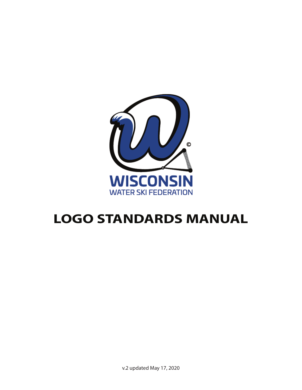

# **LOGO STANDARDS MANUAL**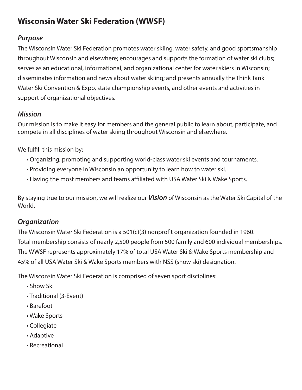# **Wisconsin Water Ski Federation (WWSF)**

# **Purpose**

The Wisconsin Water Ski Federation promotes water skiing, water safety, and good sportsmanship throughout Wisconsin and elsewhere; encourages and supports the formation of water ski clubs; serves as an educational, informational, and organizational center for water skiers in Wisconsin; disseminates information and news about water skiing; and presents annually the Think Tank Water Ski Convention & Expo, state championship events, and other events and activities in support of organizational objectives.

# **Mission**

Our mission is to make it easy for members and the general public to learn about, participate, and compete in all disciplines of water skiing throughout Wisconsin and elsewhere.

We fulfill this mission by:

- Organizing, promoting and supporting world-class water ski events and tournaments.
- Providing everyone in Wisconsin an opportunity to learn how to water ski.
- Having the most members and teams affi liated with USA Water Ski & Wake Sports.

By staying true to our mission, we will realize our **Vision** of Wisconsin as the Water Ski Capital of the World.

# **Organization**

The Wisconsin Water Ski Federation is a  $501(c)(3)$  nonprofit organization founded in 1960. Total membership consists of nearly 2,500 people from 500 family and 600 individual memberships. The WWSF represents approximately 17% of total USA Water Ski & Wake Sports membership and 45% of all USA Water Ski & Wake Sports members with NSS (show ski) designation.

The Wisconsin Water Ski Federation is comprised of seven sport disciplines:

- Show Ski
- Traditional (3-Event)
- Barefoot
- Wake Sports
- Collegiate
- Adaptive
- Recreational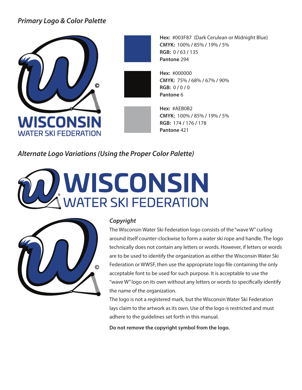# **Primary Logo & Color Palette**



**Hex:** #003F87 (Dark Cerulean or Midnight Blue) **CMYK:** 100% **/** 85% **/** 19% **/** 5% **RGB:** 0 **/** 63 **/** 135 **Pantone** 294

**Hex:** #000000 **CMYK:** 75% **/** 68% **/** 67% **/** 90% **RGB:** 0 **/** 0 **/** 0 **Pantone** 6

> **Hex:** #AEB0B2 **CMYK:** 100% **/** 85% **/** 19% **/** 5% **RGB:** 174 **/** 176 **/** 178 **Pantone** 421

**Alternate Logo Variations (Using the Proper Color Palette)**

# **WISCONSIN**<br>WATER SKI FEDERATION



### **Copyright**

The Wisconsin Water Ski Federation logo consists of the "wave W" curling around itself counter-clockwise to form a water ski rope and handle. The logo technically does not contain any letters or words. However, if letters or words are to be used to identify the organization as either the Wisconsin Water Ski Federation or WWSF, then use the appropriate logo file containing the only acceptable font to be used for such purpose. It is acceptable to use the "wave W" logo on its own without any letters or words to specifically identify the name of the organization.

The logo is not a registered mark, but the Wisconsin Water Ski Federation lays claim to the artwork as its own. Use of the logo is restricted and must adhere to the guidelines set forth in this manual.

**Do not remove the copyright symbol from the logo.**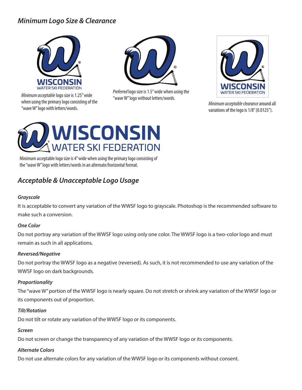# **Minimum Logo Size & Clearance**



Minimum acceptable logo size is 1.25" wide<br>"wave W" logo without letters/words. when using the primary logo consisting of the when using the primary logo consisting of the Mercury of the Maximum acceptable clearance around all wave Winimum acceptable clearance around all wave Winimum acceptable clearance around all<br>"wave W" logo with letters/word



Preferred logo size is 1.5" wide when using the



variations of the logo is 1/8" (0.0125").



Minimum acceptable logo size is 4" wide when using the primary logo consisting of the "wave W" logo with letters/words in an alternate/horizontal format.

# **Acceptable & Unacceptable Logo Usage**

### **Grayscale**

It is acceptable to convert any variation of the WWSF logo to grayscale. Photoshop is the recommended software to make such a conversion.

### **One Color**

Do not portray any variation of the WWSF logo using only one color. The WWSF logo is a two-color logo and must remain as such in all applications.

### **Reversed/Negative**

Do not portray the WWSF logo as a negative (reversed). As such, it is not recommended to use any variation of the WWSF logo on dark backgrounds.

### **Proportionality**

The "wave W" portion of the WWSF logo is nearly square. Do not stretch or shrink any variation of the WWSF logo or its components out of proportion.

### **Tilt/Rotation**

Do not tilt or rotate any variation of the WWSF logo or its components.

### **Screen**

Do not screen or change the transparency of any variation of the WWSF logo or its components.

### **Alternate Colors**

Do not use alternate colors for any variation of the WWSF logo or its components without consent.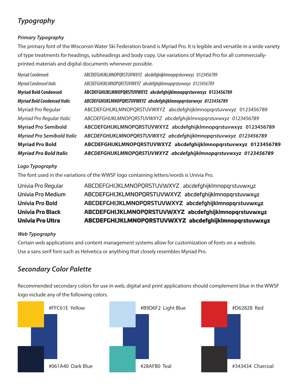# **Typography**

### **Primary Typography**

The primary font of the Wisconsin Water Ski Federation brand is Myriad Pro. It is legible and versatile in a wide variety of type treatments for headings, subheadings and body copy. Use variations of Myriad Pro for all commerciallyprinted materials and digital documents whenever possible.

| <b>Myriad Condensed</b>             | ABCDEFGHIJKLMNOPQRSTUVWXYZ abcdefghijklmnopqrstuvwxyz 0123456789 |
|-------------------------------------|------------------------------------------------------------------|
| Myriad Condensed Italic             | ABCDEFGHIJKLMNOPQRSTUVWXYZ abcdefghijklmnopqrstuvwxyz 0123456789 |
| <b>Myriad Bold Condensed</b>        | ABCDEFGHIJKLMNOPQRSTUVWXYZ abcdefghijklmnopqrstuvwxyz 0123456789 |
| <b>Myriad Bold Condensed Italic</b> | ABCDEFGHIJKLMNOPQRSTUVWXYZ abcdefghijklmnopqrstuvwxyz 0123456789 |
| Myriad Pro Regular                  | ABCDEFGHIJKLMNOPQRSTUVWXYZ abcdefghijklmnopqrstuvwxyz 0123456789 |
| Myriad Pro Regular Italic           | ABCDEFGHIJKLMNOPQRSTUVWXYZ abcdefghijklmnopqrstuvwxyz 0123456789 |
| <b>Myriad Pro Semibold</b>          | ABCDEFGHIJKLMNOPQRSTUVWXYZ abcdefghijklmnopqrstuvwxyz 0123456789 |
| <b>Myriad Pro Semibold Italic</b>   | ABCDEFGHIJKLMNOPQRSTUVWXYZ abcdefghijklmnopgrstuvwxyz 0123456789 |
| <b>Myriad Pro Bold</b>              | ABCDEFGHIJKLMNOPQRSTUVWXYZ abcdefghijklmnopqrstuvwxyz 0123456789 |
| <b>Myriad Pro Bold Italic</b>       | ABCDEFGHIJKLMNOPQRSTUVWXYZ abcdefghijklmnopqrstuvwxyz 0123456789 |

### **Logo Typography**

The font used in the variations of the WWSF logo containing letters/words is Univia Pro.

| <b>Univia Pro Ultra</b> | ABCDEFGHIJKLMNOPORSTUVWXYZ abcdefghijklmnopqrstuvwxyz |
|-------------------------|-------------------------------------------------------|
| <b>Univia Pro Black</b> | ABCDEFGHIJKLMNOPQRSTUVWXYZ abcdefghijklmnopqrstuvwxyz |
| <b>Univia Pro Bold</b>  | ABCDEFGHIJKLMNOPQRSTUVWXYZ abcdefghijklmnopqrstuvwxyz |
| Univia Pro Medium       | ABCDEFGHIJKLMNOPQRSTUVWXYZ abcdefghijklmnopgrstuvwxyz |
| Univia Pro Regular      | ABCDEFGHIJKLMNOPQRSTUVWXYZ abcdefghijklmnopqrstuvwxyz |

### **Web Typography**

Certain web applications and content management systems allow for customization of fonts on a website. Use a sans serif font such as Helvetica or anything that closely resembles Myriad Pro.

# **Secondary Color Palette**

Recommended secondary colors for use in web, digital and print applications should complement blue in the WWSF logo include any of the following colors.